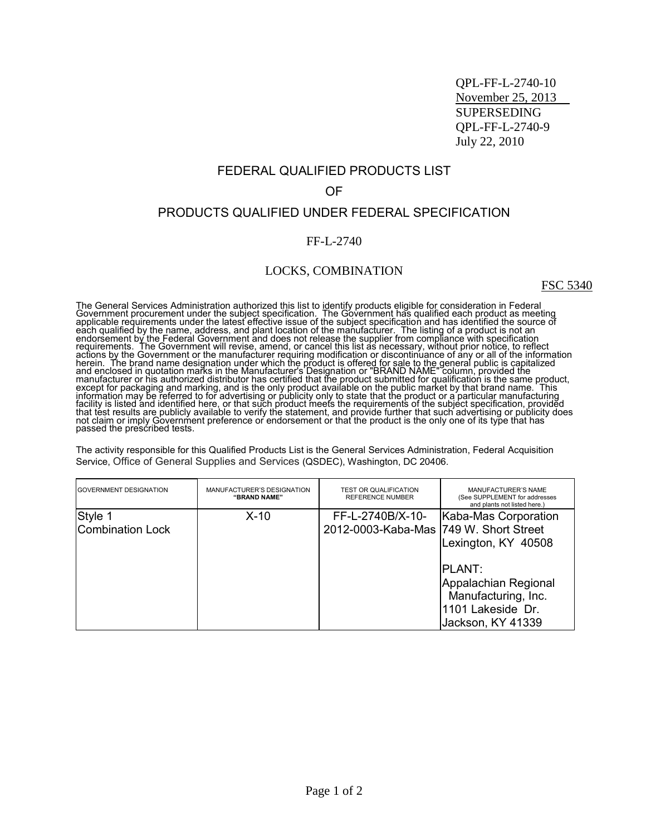QPL-FF-L-2740-10 November 25, 2013 SUPERSEDING QPL-FF-L-2740-9 July 22, 2010

## FEDERAL QUALIFIED PRODUCTS LIST

#### OF

## PRODUCTS QUALIFIED UNDER FEDERAL SPECIFICATION

### FF-L-2740

## LOCKS, COMBINATION

FSC 5340

The General Services Administration authorized this list to identify products eligible for consideration in Federal<br>Government procurement under the subject specification. The Government has qualified each product as meeti

The activity responsible for this Qualified Products List is the General Services Administration, Federal Acquisition Service, Office of General Supplies and Services (QSDEC), Washington, DC 20406.

| <b>GOVERNMENT DESIGNATION</b> | MANUFACTURER'S DESIGNATION<br>"BRAND NAME" | <b>TEST OR QUALIFICATION</b><br><b>REFERENCE NUMBER</b> | <b>MANUFACTURER'S NAME</b><br>(See SUPPLEMENT for addresses<br>and plants not listed here.) |
|-------------------------------|--------------------------------------------|---------------------------------------------------------|---------------------------------------------------------------------------------------------|
| Style 1                       | $X-10$                                     | FF-L-2740B/X-10-                                        | Kaba-Mas Corporation                                                                        |
| Combination Lock              |                                            | 2012-0003-Kaba-Mas  749 W. Short Street                 |                                                                                             |
|                               |                                            |                                                         | Lexington, KY 40508                                                                         |
|                               |                                            |                                                         |                                                                                             |
|                               |                                            |                                                         | <b>PLANT:</b>                                                                               |
|                               |                                            |                                                         | Appalachian Regional                                                                        |
|                               |                                            |                                                         | Manufacturing, Inc.                                                                         |
|                               |                                            |                                                         | 1101 Lakeside Dr.                                                                           |
|                               |                                            |                                                         | Jackson, KY 41339                                                                           |